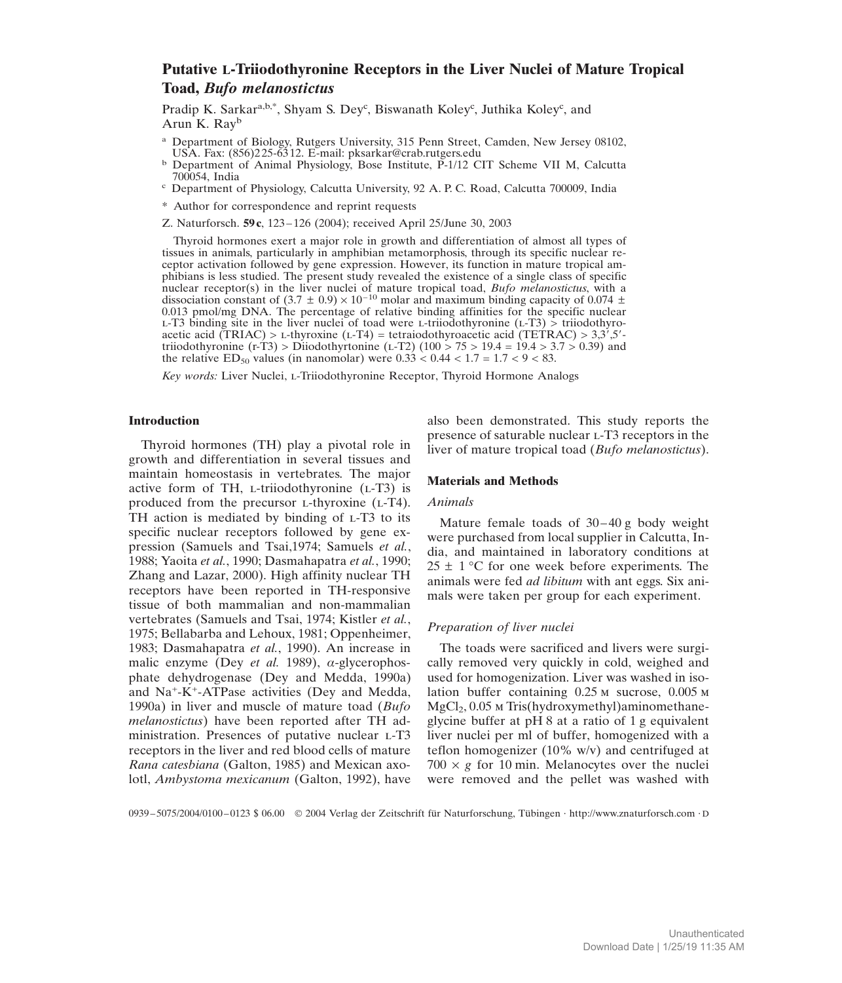# **Putative L-Triiodothyronine Receptors in the Liver Nuclei of Mature Tropical Toad,** *Bufo melanostictus*

Pradip K. Sarkar<sup>a,b,\*</sup>, Shyam S. Dey<sup>c</sup>, Biswanath Koley<sup>c</sup>, Juthika Koley<sup>c</sup>, and Arun K. Ray<sup>b</sup>

- <sup>a</sup> Department of Biology, Rutgers University, 315 Penn Street, Camden, New Jersey 08102, USA. Fax: (856)225-6312. E-mail: pksarkar@crab.rutgers.edu
- <sup>b</sup> Department of Animal Physiology, Bose Institute, P-1/12 CIT Scheme VII M, Calcutta 700054, India
- <sup>c</sup> Department of Physiology, Calcutta University, 92 A. P. C. Road, Calcutta 700009, India
- \* Author for correspondence and reprint requests
- Z. Naturforsch. **59c**, 123–126 (2004); received April 25/June 30, 2003

Thyroid hormones exert a major role in growth and differentiation of almost all types of tissues in animals, particularly in amphibian metamorphosis, through its specific nuclear receptor activation followed by gene expression. However, its function in mature tropical amphibians is less studied. The present study revealed the existence of a single class of specific nuclear receptor(s) in the liver nuclei of mature tropical toad, *Bufo melanostictus*, with a dissociation constant of (3.7  $\pm$  0.9)  $\times$  10<sup>-10</sup> molar and maximum binding capacity of 0.074  $\pm$ 0.013 pmol/mg DNA. The percentage of relative binding affinities for the specific nuclear  $L-T3$  binding site in the liver nuclei of toad were *L*-triiodothyronine  $(L-T3)$  > triiodothyroacetic acid (TRIAC) > L-thyroxine (L-T4) = tetraiodothyroacetic acid (TETRAC) > 3,3,5'triiodothyronine (r-T3) > Diiodothyrtonine (L-T2) (100 > 75 > 19.4 = 19.4 > 3.7 > 0.39) and the relative  $ED_{50}$  values (in nanomolar) were  $0.33 < 0.44 < 1.7 = 1.7 < 9 < 83$ .

*Key words:* Liver Nuclei, l-Triiodothyronine Receptor, Thyroid Hormone Analogs

### **Introduction**

Thyroid hormones (TH) play a pivotal role in growth and differentiation in several tissues and maintain homeostasis in vertebrates. The major active form of TH,  $L$ -triiodothyronine  $(L-T3)$  is produced from the precursor *L*-thyroxine (*L-T4*). TH action is mediated by binding of L-T3 to its specific nuclear receptors followed by gene expression (Samuels and Tsai,1974; Samuels *et al.*, 1988; Yaoita *et al.*, 1990; Dasmahapatra *et al.*, 1990; Zhang and Lazar, 2000). High affinity nuclear TH receptors have been reported in TH-responsive tissue of both mammalian and non-mammalian vertebrates (Samuels and Tsai, 1974; Kistler *et al.*, 1975; Bellabarba and Lehoux, 1981; Oppenheimer, 1983; Dasmahapatra *et al.*, 1990). An increase in malic enzyme (Dey *et al.* 1989), α-glycerophosphate dehydrogenase (Dey and Medda, 1990a) and Na<sup>+</sup> -K<sup>+</sup> -ATPase activities (Dey and Medda, 1990a) in liver and muscle of mature toad (*Bufo melanostictus*) have been reported after TH administration. Presences of putative nuclear L-T3 receptors in the liver and red blood cells of mature *Rana catesbiana* (Galton, 1985) and Mexican axolotl, *Ambystoma mexicanum* (Galton, 1992), have

also been demonstrated. This study reports the presence of saturable nuclear l-T3 receptors in the liver of mature tropical toad (*Bufo melanostictus*).

#### **Materials and Methods**

#### *Animals*

Mature female toads of  $30-40$  g body weight were purchased from local supplier in Calcutta, India, and maintained in laboratory conditions at  $25 \pm 1$  °C for one week before experiments. The animals were fed *ad libitum* with ant eggs. Six animals were taken per group for each experiment.

#### *Preparation of liver nuclei*

The toads were sacrificed and livers were surgically removed very quickly in cold, weighed and used for homogenization. Liver was washed in isolation buffer containing 0.25 m sucrose, 0.005 m MgCl<sub>2</sub>, 0.05 <sub>M</sub> Tris(hydroxymethyl)aminomethaneglycine buffer at pH 8 at a ratio of 1 g equivalent liver nuclei per ml of buffer, homogenized with a teflon homogenizer (10% w/v) and centrifuged at  $700 \times g$  for 10 min. Melanocytes over the nuclei were removed and the pellet was washed with

0939–5075/2004/0100–0123 \$ 06.00 © 2004 Verlag der Zeitschrift für Naturforschung, Tübingen · http://www.znaturforsch.com · D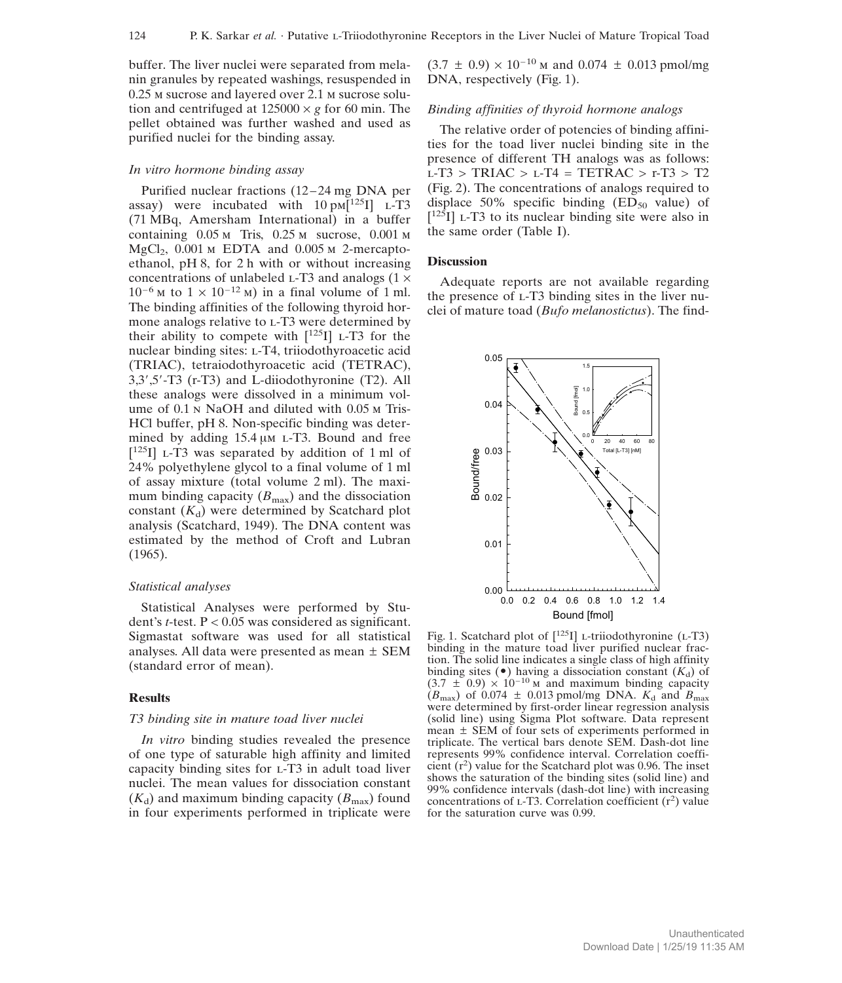buffer. The liver nuclei were separated from melanin granules by repeated washings, resuspended in 0.25 m sucrose and layered over 2.1 m sucrose solution and centrifuged at  $125000 \times g$  for 60 min. The pellet obtained was further washed and used as purified nuclei for the binding assay.

### *In vitro hormone binding assay*

Purified nuclear fractions  $(12-24 \text{ mg DNA per})$ assay) were incubated with  $10 \text{ pm}[^{125}I]$  L-T3 (71 MBq, Amersham International) in a buffer containing 0.05 m Tris, 0.25 m sucrose, 0.001 m MgCl<sub>2</sub>, 0.001 M EDTA and 0.005 M 2-mercaptoethanol, pH 8, for 2 h with or without increasing concentrations of unlabeled  $L-T3$  and analogs (1  $\times$  $10^{-6}$  M to  $1 \times 10^{-12}$  M) in a final volume of 1 ml. The binding affinities of the following thyroid hormone analogs relative to L-T3 were determined by their ability to compete with  $[125]$  L-T3 for the nuclear binding sites: l-T4, triiodothyroacetic acid (TRIAC), tetraiodothyroacetic acid (TETRAC),  $3,3',5'-T3$  (r-T3) and L-diiodothyronine (T2). All these analogs were dissolved in a minimum volume of 0.1 n NaOH and diluted with 0.05 m Tris-HCl buffer, pH 8. Non-specific binding was determined by adding  $15.4 \mu M$  L-T3. Bound and free [<sup>125</sup>I] L-T3 was separated by addition of 1 ml of 24% polyethylene glycol to a final volume of 1 ml of assay mixture (total volume 2 ml). The maximum binding capacity  $(B_{\text{max}})$  and the dissociation constant  $(K_d)$  were determined by Scatchard plot analysis (Scatchard, 1949). The DNA content was estimated by the method of Croft and Lubran (1965).

### *Statistical analyses*

Statistical Analyses were performed by Student's *t*-test. P < 0.05 was considered as significant. Sigmastat software was used for all statistical analyses. All data were presented as mean  $\pm$  SEM (standard error of mean).

#### **Results**

### *T3 binding site in mature toad liver nuclei*

*In vitro* binding studies revealed the presence of one type of saturable high affinity and limited capacity binding sites for l-T3 in adult toad liver nuclei. The mean values for dissociation constant  $(K_d)$  and maximum binding capacity  $(B_{\text{max}})$  found in four experiments performed in triplicate were

 $(3.7 \pm 0.9) \times 10^{-10}$  M and 0.074  $\pm$  0.013 pmol/mg DNA, respectively (Fig. 1).

## *Binding affinities of thyroid hormone analogs*

The relative order of potencies of binding affinities for the toad liver nuclei binding site in the presence of different TH analogs was as follows:  $L-T3 > TRIAC > L-T4 = TETRAC > r-T3 > T2$ (Fig. 2). The concentrations of analogs required to displace 50% specific binding  $(ED_{50}$  value) of  $[$ <sup>125</sup>I] L-T3 to its nuclear binding site were also in the same order (Table I).

#### **Discussion**

Adequate reports are not available regarding the presence of  $L-T3$  binding sites in the liver nuclei of mature toad (*Bufo melanostictus*). The find-



Fig. 1. Scatchard plot of  $\lceil 125 \rceil$  L-triiodothyronine (L-T3) binding in the mature toad liver purified nuclear fraction. The solid line indicates a single class of high affinity binding sites  $(\bullet)$  having a dissociation constant  $(K_d)$  of  $(3.7 \pm 0.9) \times 10^{-10}$  M and maximum binding capacity  $(B_{\text{max}})$  of 0.074  $\pm$  0.013 pmol/mg DNA.  $K_d$  and  $B_{\text{max}}$ were determined by first-order linear regression analysis (solid line) using Sigma Plot software. Data represent mean  $\pm$  SEM of four sets of experiments performed in triplicate. The vertical bars denote SEM. Dash-dot line represents 99% confidence interval. Correlation coefficient  $(r^2)$  value for the Scatchard plot was 0.96. The inset shows the saturation of the binding sites (solid line) and 99% confidence intervals (dash-dot line) with increasing concentrations of  $L-T3$ . Correlation coefficient  $(r^2)$  value for the saturation curve was 0.99.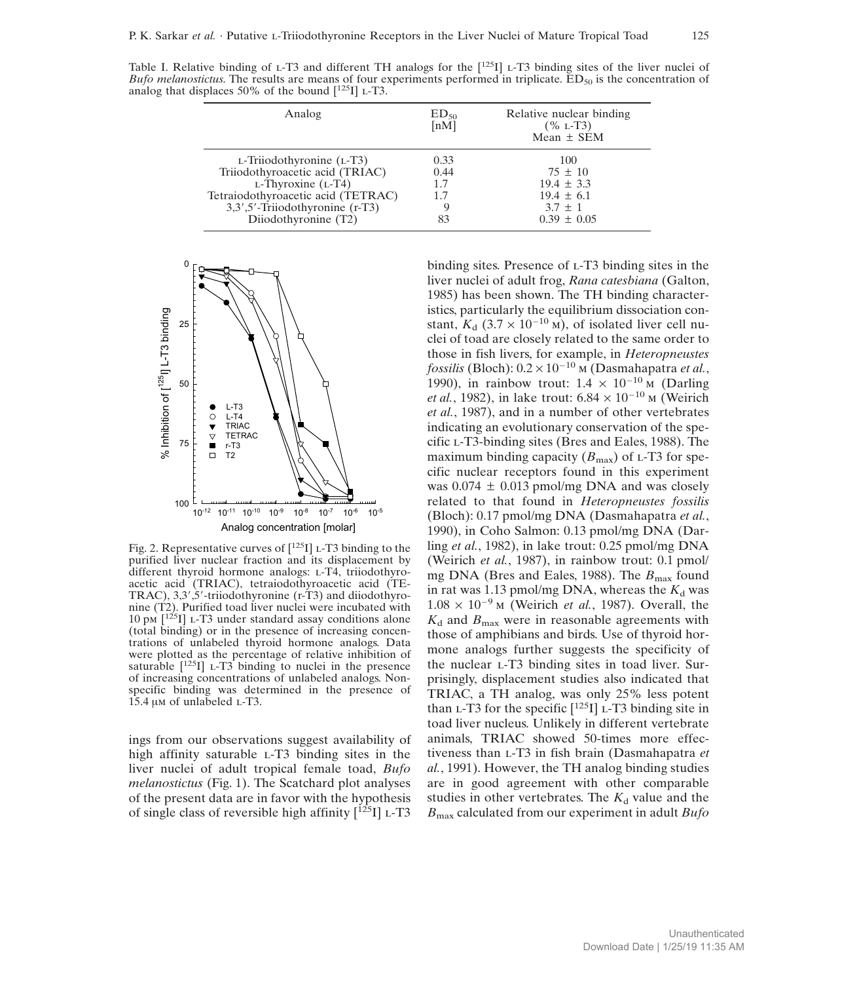Table I. Relative binding of L-T3 and different TH analogs for the [125I] L-T3 binding sites of the liver nuclei of *Bufo melanostictus*. The results are means of four experiments performed in triplicate. ED<sub>50</sub> is the concentration of analog that displaces 50% of the bound  $\binom{125}{12}$  L-T3.

| Analog                             | $ED_{50}$<br>[nM] | Relative nuclear binding<br>$(\% L-T3)$<br>Mean $\pm$ SEM |
|------------------------------------|-------------------|-----------------------------------------------------------|
| $L$ -Triiodothyronine ( $L$ -T3)   | 0.33              | 100                                                       |
| Triiodothyroacetic acid (TRIAC)    | 0.44              | $75 \pm 10$                                               |
| $L$ -Thyroxine $(L$ -T4)           | 1.7               | $19.4 \pm 3.3$                                            |
| Tetraiodothyroacetic acid (TETRAC) | 1.7               | $19.4 \pm 6.1$                                            |
| 3,3',5'-Triiodothyronine (r-T3)    | Y                 | $3.7 \pm 1$                                               |
| Diiodothyronine (T2)               | 83                | $0.39 \pm 0.05$                                           |



Fig. 2. Representative curves of  $\left[125I\right]$  L-T3 binding to the purified liver nuclear fraction and its displacement by different thyroid hormone analogs: L-T4, triiodothyroacetic acid (TRIAC), tetraiodothyroacetic acid (TE- $TRAC$ ),  $3,3',5'$ -triiodothyronine (r-T3) and diiodothyronine (T2). Purified toad liver nuclei were incubated with 10 pm  $\left[\frac{125}{1}\right]$  L-T3 under standard assay conditions alone (total binding) or in the presence of increasing concentrations of unlabeled thyroid hormone analogs. Data were plotted as the percentage of relative inhibition of saturable  $[125]$  L-T3 binding to nuclei in the presence of increasing concentrations of unlabeled analogs. Nonspecific binding was determined in the presence of  $15.4 \mu M$  of unlabeled  $L-T3$ .

ings from our observations suggest availability of high affinity saturable L-T3 binding sites in the liver nuclei of adult tropical female toad, *Bufo melanostictus* (Fig. 1). The Scatchard plot analyses of the present data are in favor with the hypothesis of single class of reversible high affinity  $[125]$  L-T3 binding sites. Presence of L-T3 binding sites in the liver nuclei of adult frog, *Rana catesbiana* (Galton, 1985) has been shown. The TH binding characteristics, particularly the equilibrium dissociation constant,  $K_d$  (3.7  $\times$  10<sup>-10</sup> m), of isolated liver cell nuclei of toad are closely related to the same order to those in fish livers, for example, in *Heteropneustes*  $f$ ossilis (Bloch):  $0.2 \times 10^{-10}$  m (Dasmahapatra *et al.*, 1990), in rainbow trout:  $1.4 \times 10^{-10}$  M (Darling *et al.*, 1982), in lake trout:  $6.84 \times 10^{-10}$  M (Weirich *et al.*, 1987), and in a number of other vertebrates indicating an evolutionary conservation of the specific l-T3-binding sites (Bres and Eales, 1988). The maximum binding capacity  $(B_{\text{max}})$  of L-T3 for specific nuclear receptors found in this experiment was  $0.074 \pm 0.013$  pmol/mg DNA and was closely related to that found in *Heteropneustes fossilis* (Bloch): 0.17 pmol/mg DNA (Dasmahapatra *et al.*, 1990), in Coho Salmon: 0.13 pmol/mg DNA (Darling *et al.*, 1982), in lake trout: 0.25 pmol/mg DNA (Weirich *et al.*, 1987), in rainbow trout: 0.1 pmol/ mg DNA (Bres and Eales, 1988). The  $B_{\text{max}}$  found in rat was 1.13 pmol/mg DNA, whereas the  $K_d$  was  $1.08 \times 10^{-9}$  M (Weirich *et al.*, 1987). Overall, the  $K_d$  and  $B_{\text{max}}$  were in reasonable agreements with those of amphibians and birds. Use of thyroid hormone analogs further suggests the specificity of the nuclear l-T3 binding sites in toad liver. Surprisingly, displacement studies also indicated that TRIAC, a TH analog, was only 25% less potent than L-T3 for the specific  $[125]$  L-T3 binding site in toad liver nucleus. Unlikely in different vertebrate animals, TRIAC showed 50-times more effectiveness than l-T3 in fish brain (Dasmahapatra *et al.*, 1991). However, the TH analog binding studies are in good agreement with other comparable studies in other vertebrates. The  $K_d$  value and the *B*max calculated from our experiment in adult *Bufo*